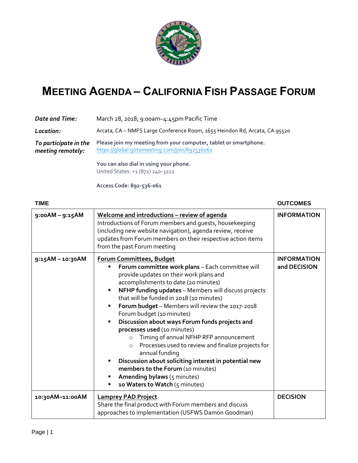

## **MEETING AGENDA – CALIFORNIA FISH PASSAGE FORUM**

| Date and Time:                             | March 28, 2018; 9:00am-4:45pm Pacific Time                                                                        |
|--------------------------------------------|-------------------------------------------------------------------------------------------------------------------|
| Location:                                  | Arcata, CA - NMFS Large Conference Room, 1655 Heindon Rd, Arcata, CA 95520                                        |
| To participate in the<br>meeting remotely: | Please join my meeting from your computer, tablet or smartphone.<br>https://qlobal.gotomeeting.com/join/892536061 |
|                                            | You can also dial in using your phone.                                                                            |

United States: +1 (872) 240-3212

**Access Code: 892-536-061**

## **TIME OUTCOMES 9:00AM – 9:15AM Welcome and introductions – review of agenda** Introductions of Forum members and guests, housekeeping (including new website navigation), agenda review, receive updates from Forum members on their respective action items from the past Forum meeting **INFORMATION 9:15AM – 10:30AM Forum Committees, Budget Forum committee work plans** – Each committee will provide updates on their work plans and accomplishments to date (20 minutes) **NFHP funding updates** – Members will discuss projects that will be funded in 2018 (10 minutes) ▪ **Forum budget** – Members will review the 2017-2018 Forum budget (10 minutes) ▪ **Discussion about ways Forum funds projects and processes used** (10 minutes) o Timing of annual NFHP RFP announcement o Processes used to review and finalize projects for annual funding **Discussion about soliciting interest in potential new members to the Forum** (10 minutes) Amending bylaws (5 minutes) **10 Waters to Watch** (5 minutes) **INFORMATION and DECISION 10:30AM–11:00AM Lamprey PAD Project** Share the final product with Forum members and discuss approaches to implementation (USFWS Damon Goodman) **DECISION**